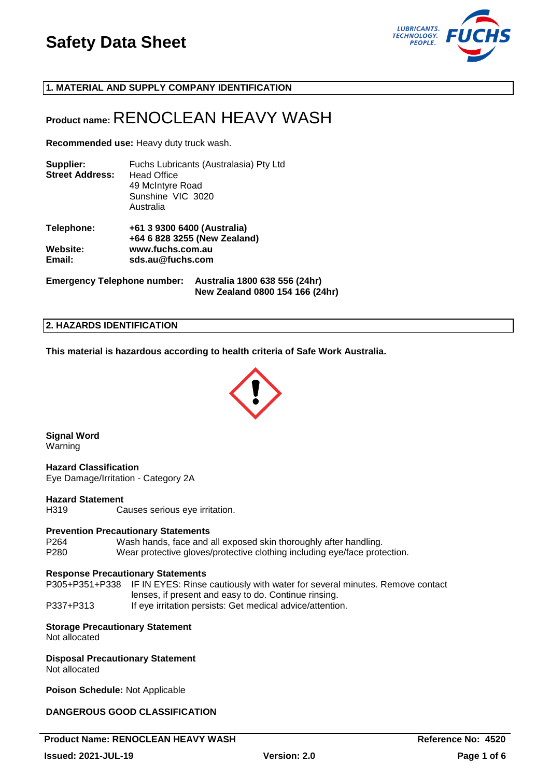

**1. MATERIAL AND SUPPLY COMPANY IDENTIFICATION**

# **Product name:** RENOCLEAN HEAVY WASH

**Recommended use:** Heavy duty truck wash.

| Supplier:<br><b>Street Address:</b> | Fuchs Lubricants (Australasia) Pty Ltd<br><b>Head Office</b><br>49 McIntyre Road<br>Sunshine VIC 3020<br>Australia |
|-------------------------------------|--------------------------------------------------------------------------------------------------------------------|
| Telephone:                          | +61 3 9300 6400 (Australia)<br>+64 6 828 3255 (New Zealand)                                                        |
| Website:<br>Email:                  | www.fuchs.com.au<br>sds.au@fuchs.com                                                                               |

**Emergency Telephone number: Australia 1800 638 556 (24hr) New Zealand 0800 154 166 (24hr)**

### **2. HAZARDS IDENTIFICATION**

**This material is hazardous according to health criteria of Safe Work Australia.**



**Signal Word** Warning

**Hazard Classification** Eye Damage/Irritation - Category 2A

#### **Hazard Statement**

H319 Causes serious eye irritation.

### **Prevention Precautionary Statements**

P264 Wash hands, face and all exposed skin thoroughly after handling. P280 Wear protective gloves/protective clothing including eye/face protection.

### **Response Precautionary Statements**

P305+P351+P338 IF IN EYES: Rinse cautiously with water for several minutes. Remove contact lenses, if present and easy to do. Continue rinsing. P337+P313 If eye irritation persists: Get medical advice/attention.

# **Storage Precautionary Statement**

Not allocated

# **Disposal Precautionary Statement**

Not allocated

**Poison Schedule:** Not Applicable

# **DANGEROUS GOOD CLASSIFICATION**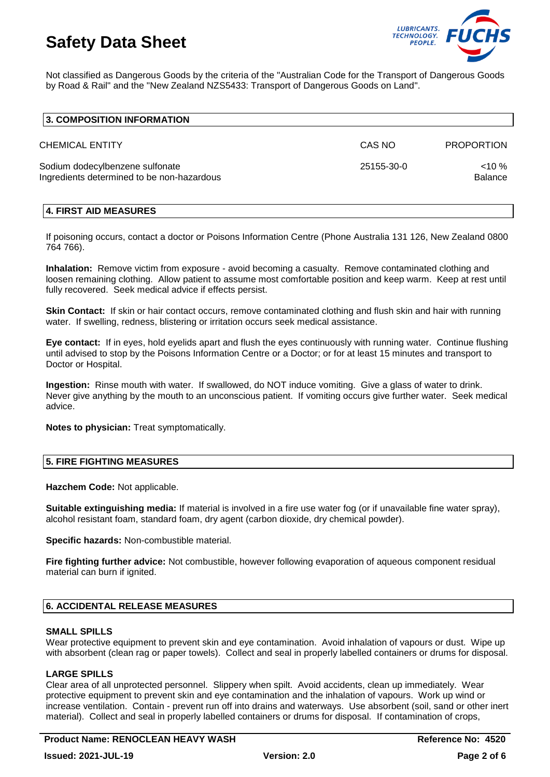

Not classified as Dangerous Goods by the criteria of the "Australian Code for the Transport of Dangerous Goods by Road & Rail" and the "New Zealand NZS5433: Transport of Dangerous Goods on Land".

| 3. COMPOSITION INFORMATION                                                    |            |                   |
|-------------------------------------------------------------------------------|------------|-------------------|
| <b>CHEMICAL ENTITY</b>                                                        | CAS NO     | <b>PROPORTION</b> |
| Sodium dodecylbenzene sulfonate<br>Ingredients determined to be non-hazardous | 25155-30-0 | $10\%$<br>Balance |

### **4. FIRST AID MEASURES**

If poisoning occurs, contact a doctor or Poisons Information Centre (Phone Australia 131 126, New Zealand 0800 764 766).

**Inhalation:** Remove victim from exposure - avoid becoming a casualty. Remove contaminated clothing and loosen remaining clothing. Allow patient to assume most comfortable position and keep warm. Keep at rest until fully recovered. Seek medical advice if effects persist.

**Skin Contact:** If skin or hair contact occurs, remove contaminated clothing and flush skin and hair with running water. If swelling, redness, blistering or irritation occurs seek medical assistance.

**Eye contact:** If in eyes, hold eyelids apart and flush the eyes continuously with running water. Continue flushing until advised to stop by the Poisons Information Centre or a Doctor; or for at least 15 minutes and transport to Doctor or Hospital.

**Ingestion:** Rinse mouth with water. If swallowed, do NOT induce vomiting. Give a glass of water to drink. Never give anything by the mouth to an unconscious patient. If vomiting occurs give further water. Seek medical advice.

**Notes to physician:** Treat symptomatically.

### **5. FIRE FIGHTING MEASURES**

**Hazchem Code:** Not applicable.

**Suitable extinguishing media:** If material is involved in a fire use water fog (or if unavailable fine water spray), alcohol resistant foam, standard foam, dry agent (carbon dioxide, dry chemical powder).

**Specific hazards:** Non-combustible material.

**Fire fighting further advice:** Not combustible, however following evaporation of aqueous component residual material can burn if ignited.

### **6. ACCIDENTAL RELEASE MEASURES**

#### **SMALL SPILLS**

Wear protective equipment to prevent skin and eye contamination. Avoid inhalation of vapours or dust. Wipe up with absorbent (clean rag or paper towels). Collect and seal in properly labelled containers or drums for disposal.

### **LARGE SPILLS**

Clear area of all unprotected personnel. Slippery when spilt. Avoid accidents, clean up immediately. Wear protective equipment to prevent skin and eye contamination and the inhalation of vapours. Work up wind or increase ventilation. Contain - prevent run off into drains and waterways. Use absorbent (soil, sand or other inert material). Collect and seal in properly labelled containers or drums for disposal. If contamination of crops,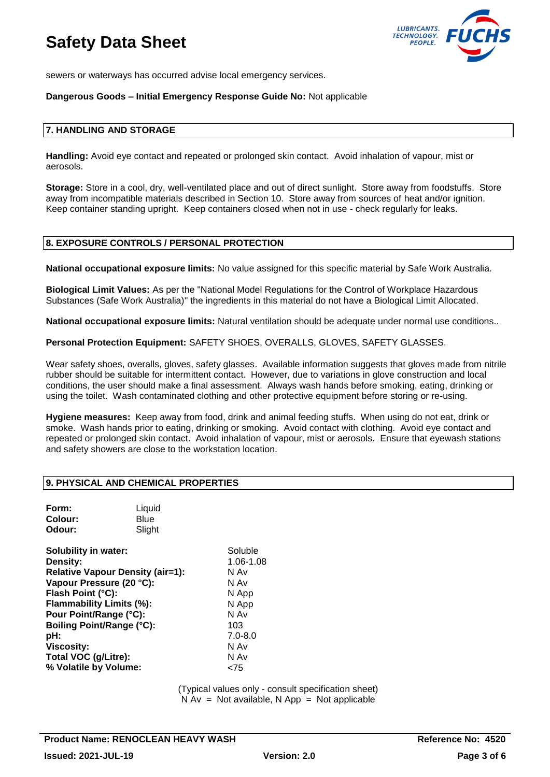

sewers or waterways has occurred advise local emergency services.

### **Dangerous Goods – Initial Emergency Response Guide No:** Not applicable

#### **7. HANDLING AND STORAGE**

**Handling:** Avoid eye contact and repeated or prolonged skin contact. Avoid inhalation of vapour, mist or aerosols.

**Storage:** Store in a cool, dry, well-ventilated place and out of direct sunlight. Store away from foodstuffs. Store away from incompatible materials described in Section 10. Store away from sources of heat and/or ignition. Keep container standing upright. Keep containers closed when not in use - check regularly for leaks.

### **8. EXPOSURE CONTROLS / PERSONAL PROTECTION**

**National occupational exposure limits:** No value assigned for this specific material by Safe Work Australia.

**Biological Limit Values:** As per the "National Model Regulations for the Control of Workplace Hazardous Substances (Safe Work Australia)" the ingredients in this material do not have a Biological Limit Allocated.

**National occupational exposure limits:** Natural ventilation should be adequate under normal use conditions..

**Personal Protection Equipment:** SAFETY SHOES, OVERALLS, GLOVES, SAFETY GLASSES.

Wear safety shoes, overalls, gloves, safety glasses. Available information suggests that gloves made from nitrile rubber should be suitable for intermittent contact. However, due to variations in glove construction and local conditions, the user should make a final assessment. Always wash hands before smoking, eating, drinking or using the toilet. Wash contaminated clothing and other protective equipment before storing or re-using.

**Hygiene measures:** Keep away from food, drink and animal feeding stuffs. When using do not eat, drink or smoke. Wash hands prior to eating, drinking or smoking. Avoid contact with clothing. Avoid eye contact and repeated or prolonged skin contact. Avoid inhalation of vapour, mist or aerosols. Ensure that eyewash stations and safety showers are close to the workstation location.

### **9. PHYSICAL AND CHEMICAL PROPERTIES**

| Form:<br>Colour:<br>Odour:                                                                                                                                                                                                                                                                   | Liquid<br>Blue<br>Slight |                                                                                                             |
|----------------------------------------------------------------------------------------------------------------------------------------------------------------------------------------------------------------------------------------------------------------------------------------------|--------------------------|-------------------------------------------------------------------------------------------------------------|
| Solubility in water:<br><b>Density:</b><br><b>Relative Vapour Density (air=1):</b><br>Vapour Pressure (20 °C):<br>Flash Point (°C):<br>Flammability Limits (%):<br>Pour Point/Range (°C):<br>Boiling Point/Range (°C):<br>pH:<br>Viscosity:<br>Total VOC (g/Litre):<br>% Volatile by Volume: |                          | Soluble<br>1.06-1.08<br>N Av<br>N Av<br>N App<br>N App<br>N Av<br>103<br>$7.0 - 8.0$<br>N Av<br>N Av<br>75> |

(Typical values only - consult specification sheet)  $N Av = Not available, N App = Not applicable$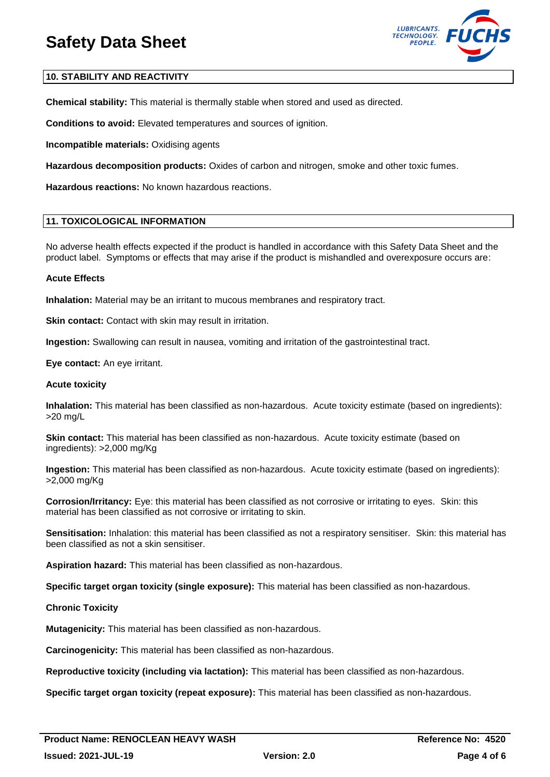

# **10. STABILITY AND REACTIVITY**

**Chemical stability:** This material is thermally stable when stored and used as directed.

**Conditions to avoid:** Elevated temperatures and sources of ignition.

**Incompatible materials:** Oxidising agents

**Hazardous decomposition products:** Oxides of carbon and nitrogen, smoke and other toxic fumes.

**Hazardous reactions:** No known hazardous reactions.

## **11. TOXICOLOGICAL INFORMATION**

No adverse health effects expected if the product is handled in accordance with this Safety Data Sheet and the product label. Symptoms or effects that may arise if the product is mishandled and overexposure occurs are:

### **Acute Effects**

**Inhalation:** Material may be an irritant to mucous membranes and respiratory tract.

**Skin contact:** Contact with skin may result in irritation.

**Ingestion:** Swallowing can result in nausea, vomiting and irritation of the gastrointestinal tract.

**Eye contact:** An eye irritant.

#### **Acute toxicity**

**Inhalation:** This material has been classified as non-hazardous. Acute toxicity estimate (based on ingredients): >20 mg/L

**Skin contact:** This material has been classified as non-hazardous. Acute toxicity estimate (based on ingredients): >2,000 mg/Kg

**Ingestion:** This material has been classified as non-hazardous. Acute toxicity estimate (based on ingredients): >2,000 mg/Kg

**Corrosion/Irritancy:** Eye: this material has been classified as not corrosive or irritating to eyes. Skin: this material has been classified as not corrosive or irritating to skin.

**Sensitisation:** Inhalation: this material has been classified as not a respiratory sensitiser. Skin: this material has been classified as not a skin sensitiser.

**Aspiration hazard:** This material has been classified as non-hazardous.

**Specific target organ toxicity (single exposure):** This material has been classified as non-hazardous.

### **Chronic Toxicity**

**Mutagenicity:** This material has been classified as non-hazardous.

**Carcinogenicity:** This material has been classified as non-hazardous.

**Reproductive toxicity (including via lactation):** This material has been classified as non-hazardous.

**Specific target organ toxicity (repeat exposure):** This material has been classified as non-hazardous.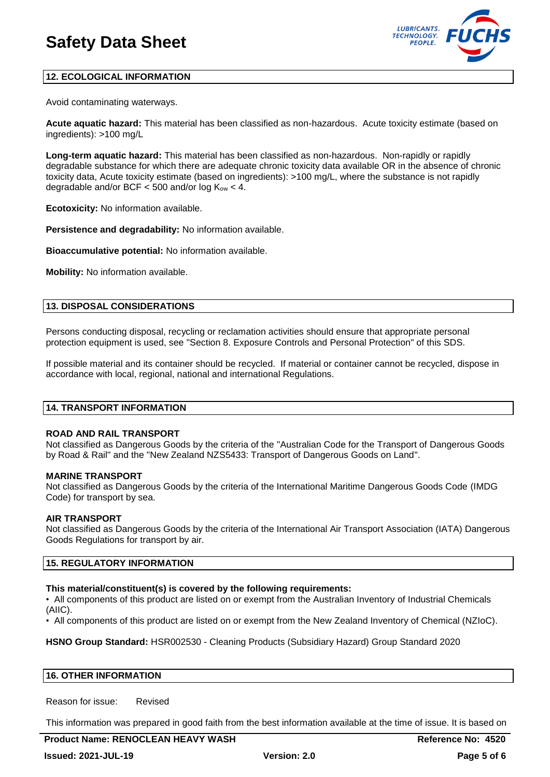

# **12. ECOLOGICAL INFORMATION**

Avoid contaminating waterways.

**Acute aquatic hazard:** This material has been classified as non-hazardous. Acute toxicity estimate (based on ingredients): >100 mg/L

**Long-term aquatic hazard:** This material has been classified as non-hazardous. Non-rapidly or rapidly degradable substance for which there are adequate chronic toxicity data available OR in the absence of chronic toxicity data, Acute toxicity estimate (based on ingredients): >100 mg/L, where the substance is not rapidly degradable and/or BCF  $<$  500 and/or log K<sub>ow</sub>  $<$  4.

**Ecotoxicity:** No information available.

**Persistence and degradability:** No information available.

**Bioaccumulative potential:** No information available.

**Mobility:** No information available.

## **13. DISPOSAL CONSIDERATIONS**

Persons conducting disposal, recycling or reclamation activities should ensure that appropriate personal protection equipment is used, see "Section 8. Exposure Controls and Personal Protection" of this SDS.

If possible material and its container should be recycled. If material or container cannot be recycled, dispose in accordance with local, regional, national and international Regulations.

#### **14. TRANSPORT INFORMATION**

### **ROAD AND RAIL TRANSPORT**

Not classified as Dangerous Goods by the criteria of the "Australian Code for the Transport of Dangerous Goods by Road & Rail" and the "New Zealand NZS5433: Transport of Dangerous Goods on Land".

### **MARINE TRANSPORT**

Not classified as Dangerous Goods by the criteria of the International Maritime Dangerous Goods Code (IMDG Code) for transport by sea.

### **AIR TRANSPORT**

Not classified as Dangerous Goods by the criteria of the International Air Transport Association (IATA) Dangerous Goods Regulations for transport by air.

### **15. REGULATORY INFORMATION**

### **This material/constituent(s) is covered by the following requirements:**

• All components of this product are listed on or exempt from the Australian Inventory of Industrial Chemicals (AIIC).

• All components of this product are listed on or exempt from the New Zealand Inventory of Chemical (NZIoC).

**HSNO Group Standard:** HSR002530 - Cleaning Products (Subsidiary Hazard) Group Standard 2020

#### **16. OTHER INFORMATION**

Reason for issue: Revised

This information was prepared in good faith from the best information available at the time of issue. It is based on